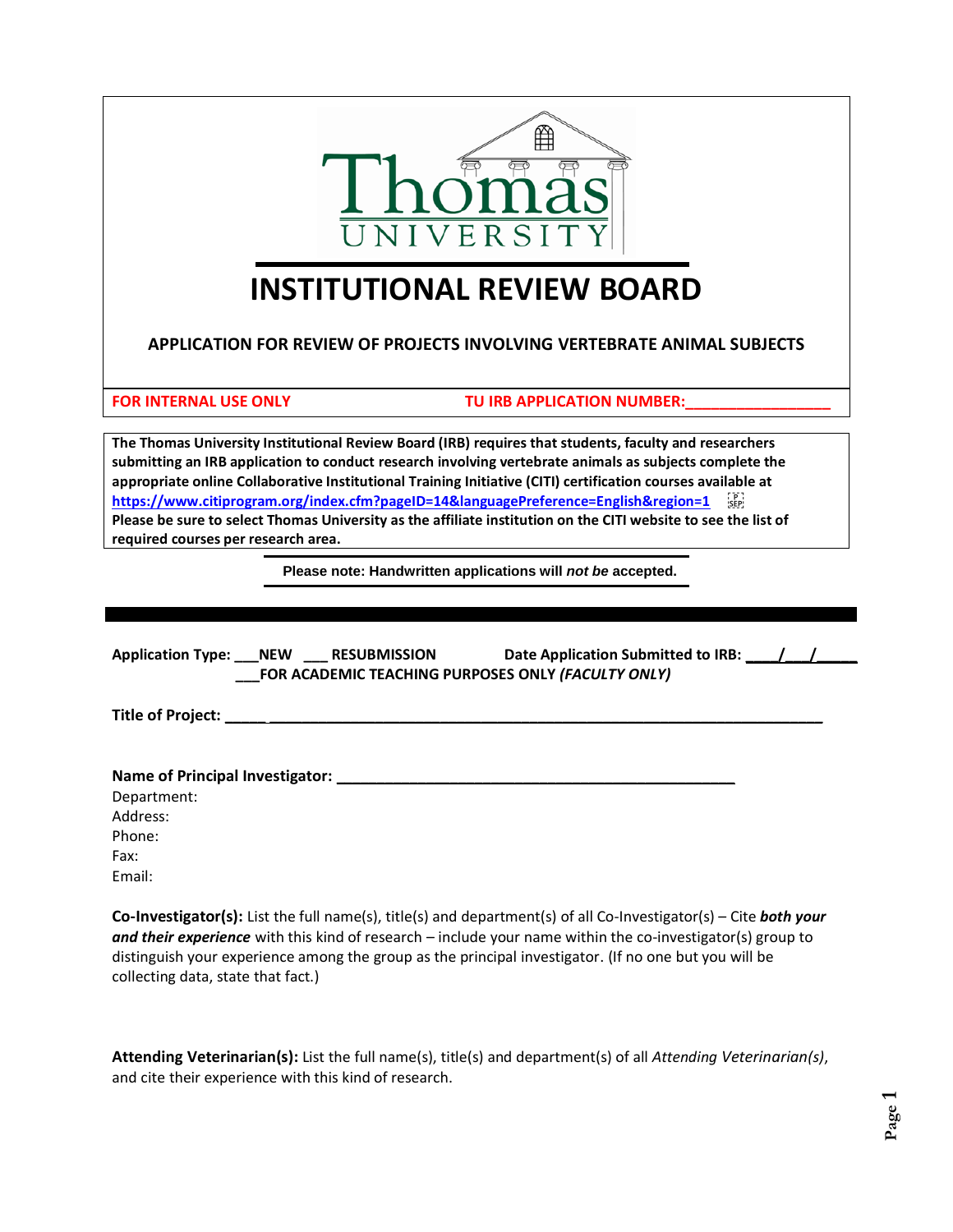

# **INSTITUTIONAL REVIEW BOARD**

**APPLICATION FOR REVIEW OF PROJECTS INVOLVING VERTEBRATE ANIMAL SUBJECTS**

FOR INTERNAL USE ONLY **TU IRB APPLICATION NUMBER:** 

**The Thomas University Institutional Review Board (IRB) requires that students, faculty and researchers submitting an IRB application to conduct research involving vertebrate animals as subjects complete the appropriate online Collaborative Institutional Training Initiative (CITI) certification courses available at**  https://www.citiprogram.org/index.cfm?pageID=14&languagePreference=English&region=1 **Please be sure to select Thomas University as the affiliate institution on the CITI website to see the list of required courses per research area.** I

**Please note: Handwritten applications will** *not be* **accepted.**

| Application Type: NEW ___ RESUBMISSION Date Application Submitted to IRB: 1.1.1.1.1.1.1.1.1.1.1.1.1.<br>FOR ACADEMIC TEACHING PURPOSES ONLY (FACULTY ONLY)                                                                                     |  |
|------------------------------------------------------------------------------------------------------------------------------------------------------------------------------------------------------------------------------------------------|--|
|                                                                                                                                                                                                                                                |  |
|                                                                                                                                                                                                                                                |  |
| Department:                                                                                                                                                                                                                                    |  |
| Address:                                                                                                                                                                                                                                       |  |
| Phone:                                                                                                                                                                                                                                         |  |
| Fax:                                                                                                                                                                                                                                           |  |
| Email:                                                                                                                                                                                                                                         |  |
| <b>Co-Investigator(s):</b> List the full name(s), title(s) and department(s) of all Co-Investigator(s) – Cite <b>both your</b><br>and their experience with this kind of research $-$ include your name within the co-investigator(s) group to |  |

*and their experience* with this kind of research – include your name within the co-investigator(s) group to distinguish your experience among the group as the principal investigator. (If no one but you will be collecting data, state that fact.)

**Attending Veterinarian(s):** List the full name(s), title(s) and department(s) of all *Attending Veterinarian(s)*, and cite their experience with this kind of research.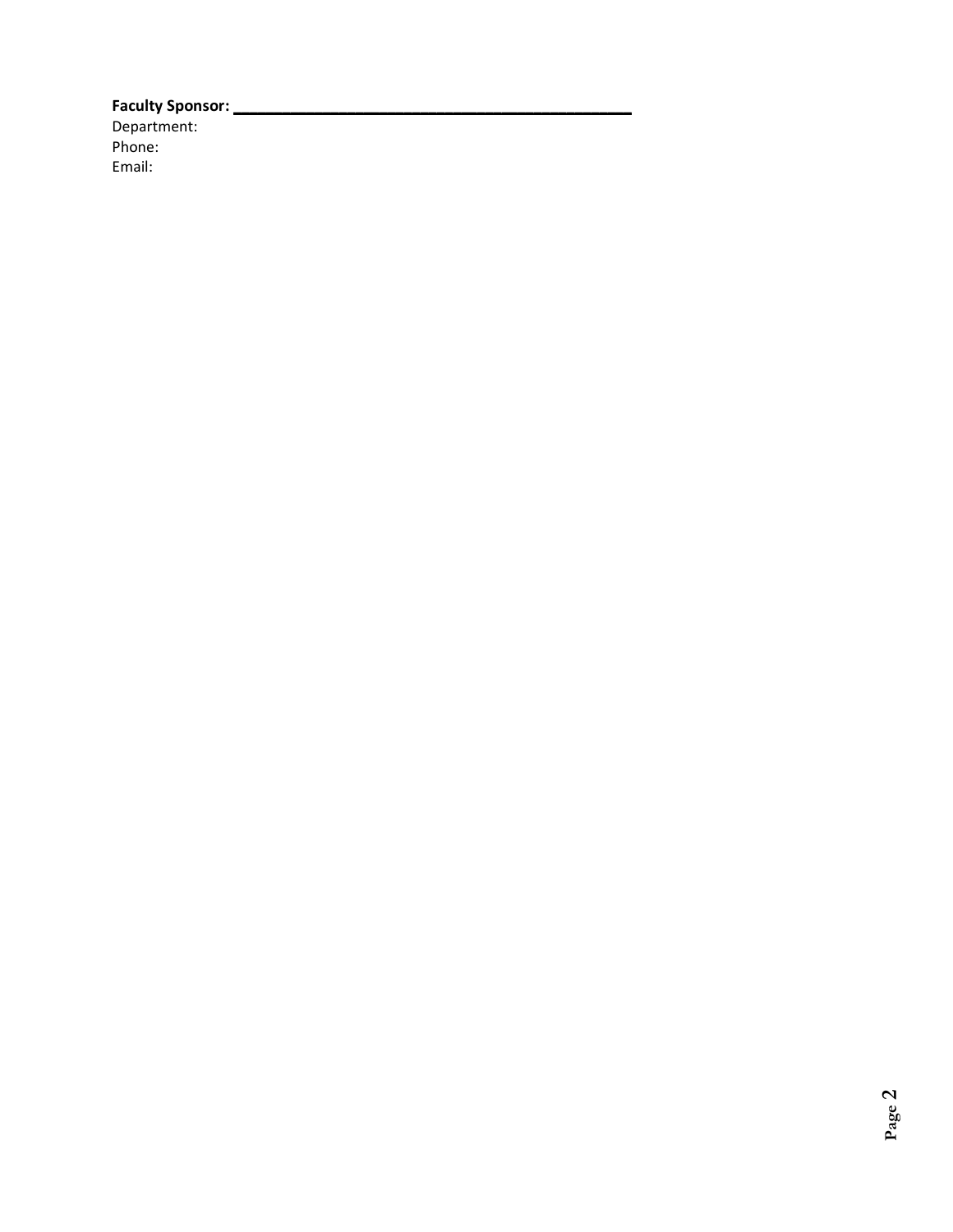**Faculty Sponsor: \_\_\_\_\_\_\_\_\_\_\_\_\_\_\_\_\_\_\_\_\_\_\_\_\_\_\_\_\_\_\_\_\_\_\_\_\_\_\_\_\_\_\_\_\_\_\_\_\_** Department: Phone: Email: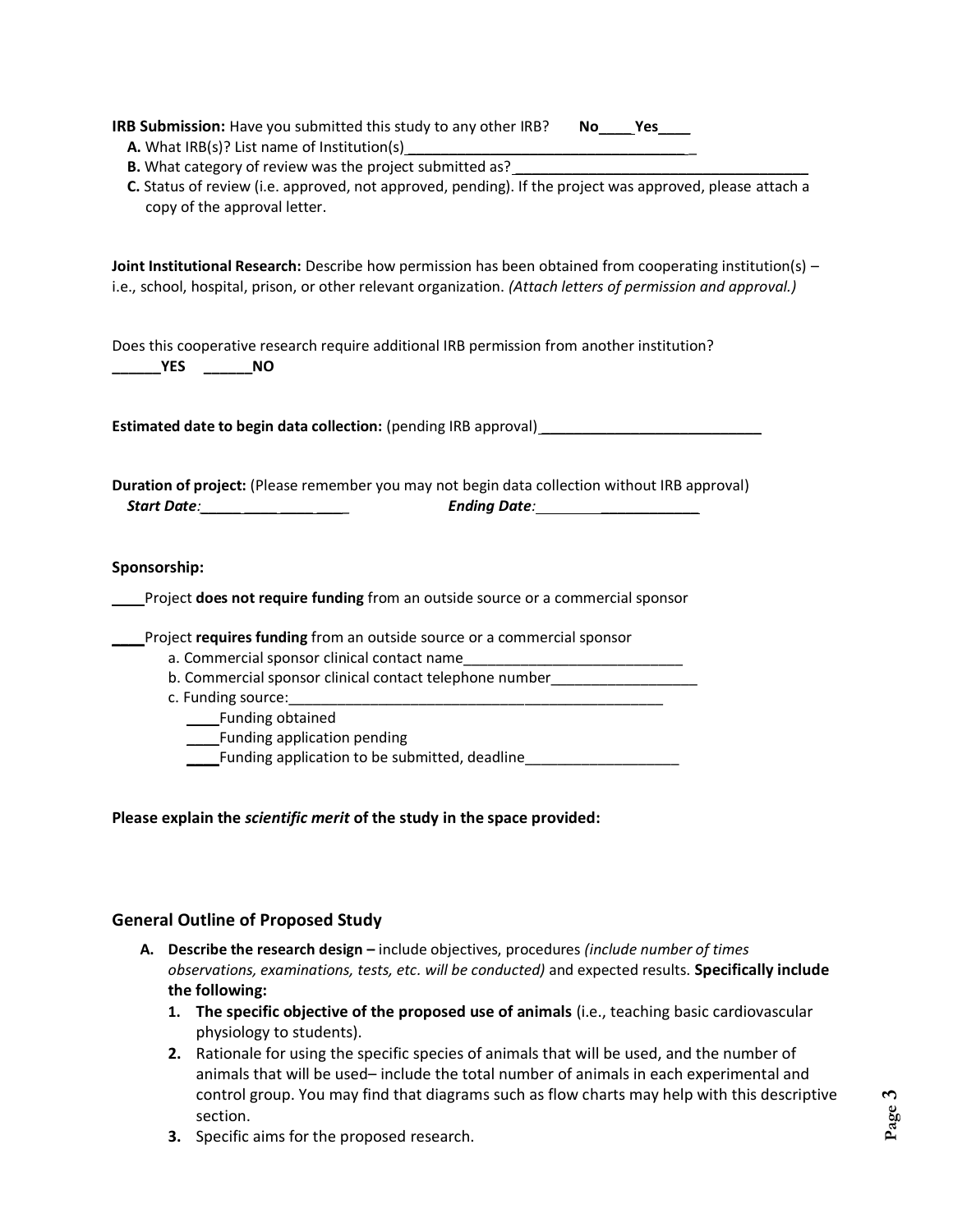| IRB Submission: Have you submitted this study to any other IRB? | No. |  |  |
|-----------------------------------------------------------------|-----|--|--|
|-----------------------------------------------------------------|-----|--|--|

- **A.** What IRB(s)? List name of Institution(s)
- **B.** What category of review was the project submitted as? \_\_\_\_\_\_\_\_\_\_\_\_\_\_\_\_\_\_\_\_\_\_\_
- **C.** Status of review (i.e. approved, not approved, pending). If the project was approved, please attach a copy of the approval letter.

**Joint Institutional Research:** Describe how permission has been obtained from cooperating institution(s) – i.e., school, hospital, prison, or other relevant organization. *(Attach letters of permission and approval.)*

Does this cooperative research require additional IRB permission from another institution? **\_\_\_\_\_\_YES \_\_\_\_\_\_NO**

**Estimated date to begin data collection:** (pending IRB approval) \_\_\_\_\_\_\_\_\_\_\_\_\_\_\_

**Duration of project:** (Please remember you may not begin data collection without IRB approval)  *Start Date:\_\_\_\_\_ \_\_\_\_ \_\_\_\_ \_\_\_\_ Ending Date: \_\_\_\_\_\_\_\_\_\_\_\_*

#### **Sponsorship:**

\_\_\_\_Project **does not require funding** from an outside source or a commercial sponsor

\_\_\_\_Project **requires funding** from an outside source or a commercial sponsor

- a. Commercial sponsor clinical contact name
- b. Commercial sponsor clinical contact telephone number
- c. Funding source:

\_\_\_\_Funding obtained

\_\_\_\_Funding application pending

\_\_\_\_Funding application to be submitted, deadline\_\_\_\_\_\_\_\_\_\_\_\_\_\_\_\_\_\_\_

**Please explain the** *scientific merit* **of the study in the space provided:**

# **General Outline of Proposed Study**

- **A. Describe the research design –** include objectives, procedures *(include number of times observations, examinations, tests, etc. will be conducted)* and expected results. **Specifically include the following:**
	- **1. The specific objective of the proposed use of animals** (i.e., teaching basic cardiovascular physiology to students).
	- **2.** Rationale for using the specific species of animals that will be used, and the number of animals that will be used– include the total number of animals in each experimental and control group. You may find that diagrams such as flow charts may help with this descriptive section.
	- **3.** Specific aims for the proposed research.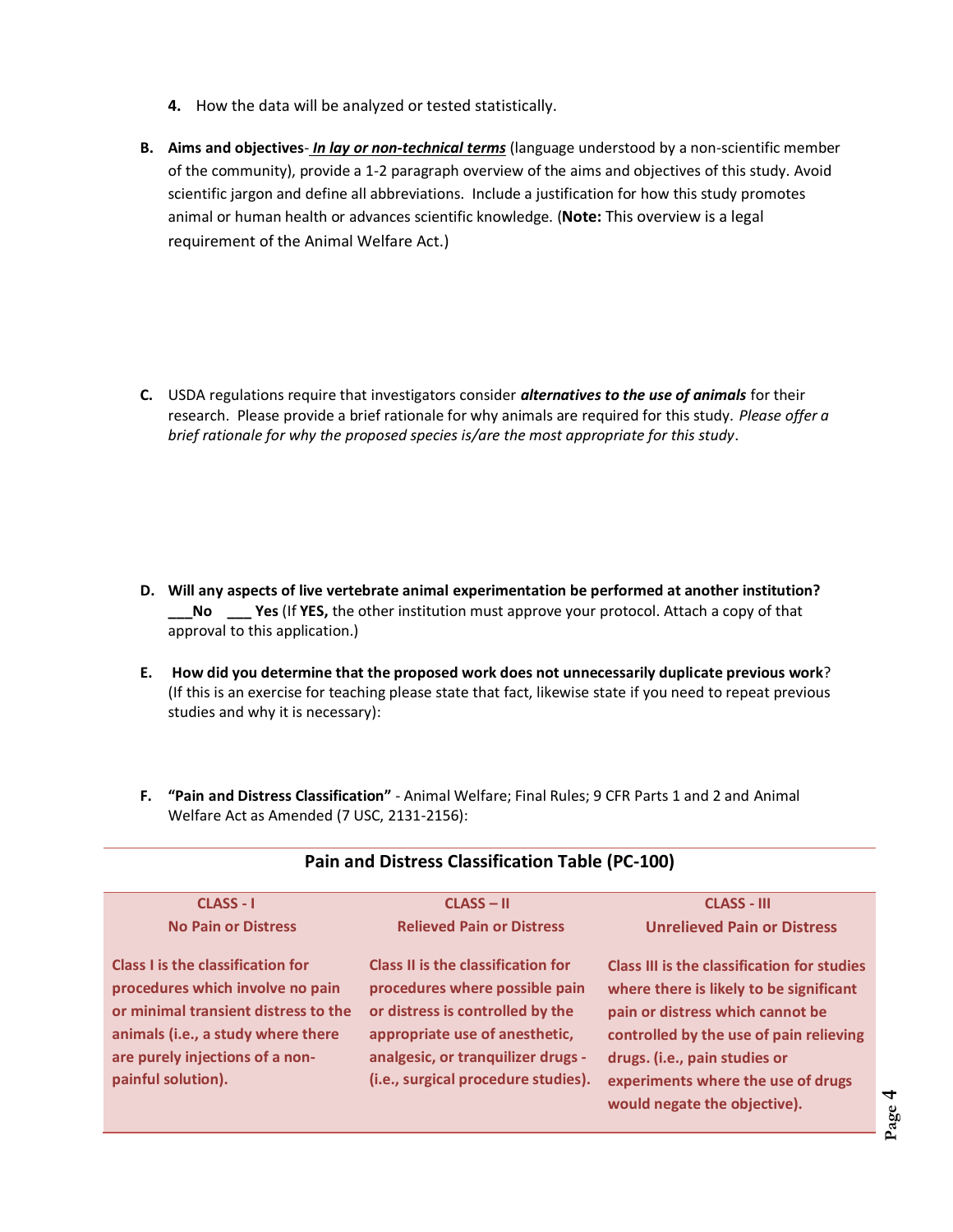- **4.** How the data will be analyzed or tested statistically.
- **B. Aims and objectives** *In lay or non-technical terms* (language understood by a non-scientific member of the community), provide a 1-2 paragraph overview of the aims and objectives of this study. Avoid scientific jargon and define all abbreviations. Include a justification for how this study promotes animal or human health or advances scientific knowledge. (**Note:** This overview is a legal requirement of the Animal Welfare Act.)

**C.** USDA regulations require that investigators consider *alternatives to the use of animals* for their research. Please provide a brief rationale for why animals are required for this study. *Please offer a brief rationale for why the proposed species is/are the most appropriate for this study*.

- **D. Will any aspects of live vertebrate animal experimentation be performed at another institution? \_\_\_No \_\_\_ Yes** (If **YES,** the other institution must approve your protocol. Attach a copy of that approval to this application.)
- **E. How did you determine that the proposed work does not unnecessarily duplicate previous work**? (If this is an exercise for teaching please state that fact, likewise state if you need to repeat previous studies and why it is necessary):
- **F. "Pain and Distress Classification"** Animal Welfare; Final Rules; 9 CFR Parts 1 and 2 and Animal Welfare Act as Amended (7 USC, 2131-2156):

| <b>CLASS - I</b>                                                                                                                                                                                             | $CLASS - II$                                                                                                                                                                                                            | <b>CLASS - III</b>                                                                                                                                                                                                                                                           |
|--------------------------------------------------------------------------------------------------------------------------------------------------------------------------------------------------------------|-------------------------------------------------------------------------------------------------------------------------------------------------------------------------------------------------------------------------|------------------------------------------------------------------------------------------------------------------------------------------------------------------------------------------------------------------------------------------------------------------------------|
| <b>No Pain or Distress</b>                                                                                                                                                                                   | <b>Relieved Pain or Distress</b>                                                                                                                                                                                        | <b>Unrelieved Pain or Distress</b>                                                                                                                                                                                                                                           |
| Class I is the classification for<br>procedures which involve no pain<br>or minimal transient distress to the<br>animals (i.e., a study where there<br>are purely injections of a non-<br>painful solution). | Class II is the classification for<br>procedures where possible pain<br>or distress is controlled by the<br>appropriate use of anesthetic,<br>analgesic, or tranquilizer drugs -<br>(i.e., surgical procedure studies). | Class III is the classification for studies<br>where there is likely to be significant<br>pain or distress which cannot be<br>controlled by the use of pain relieving<br>drugs. (i.e., pain studies or<br>experiments where the use of drugs<br>would negate the objective). |

# **Pain and Distress Classification Table (PC-100)**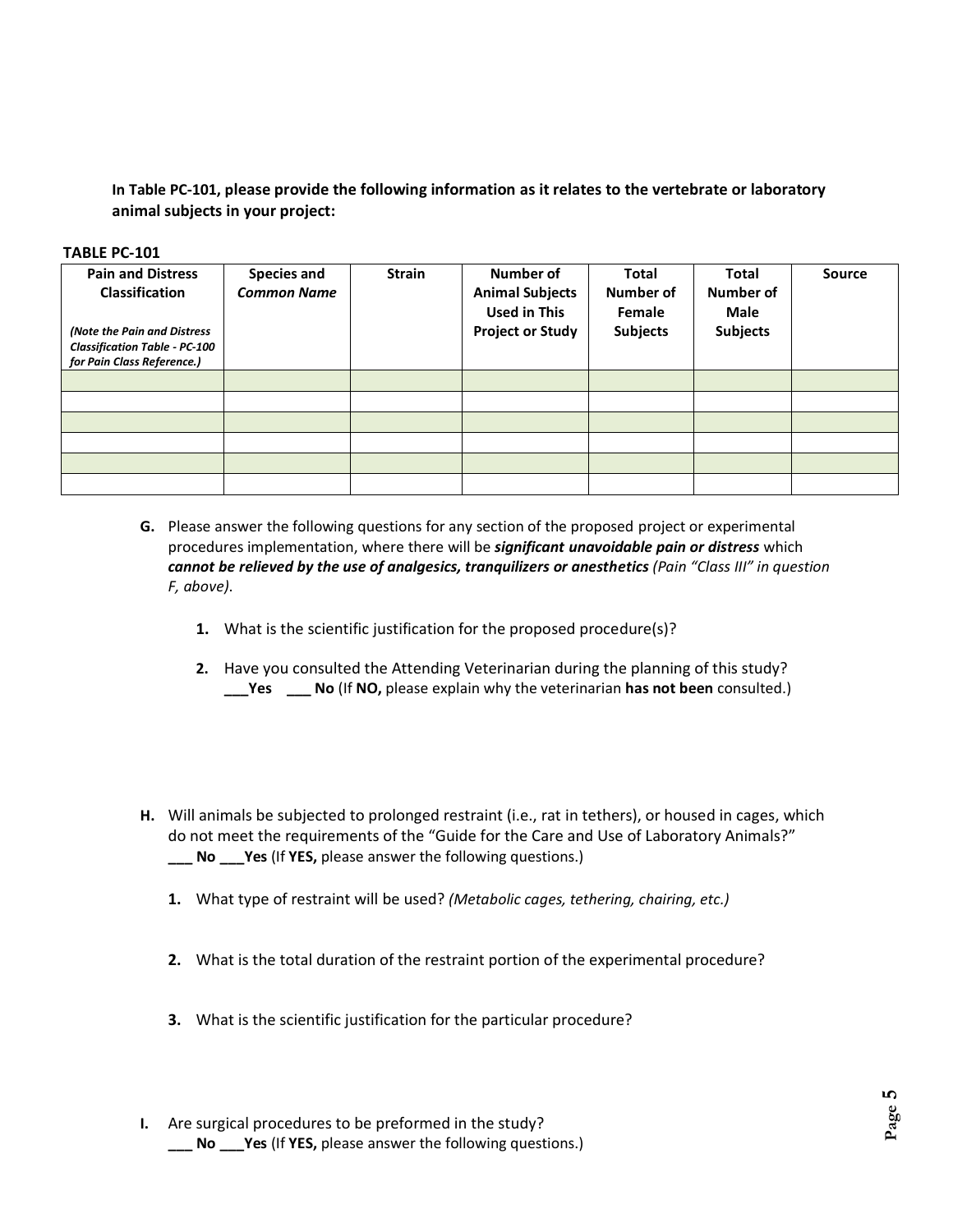**In Table PC-101, please provide the following information as it relates to the vertebrate or laboratory animal subjects in your project:**

#### **TABLE PC-101**

| <b>Pain and Distress</b><br>Classification<br>(Note the Pain and Distress<br><b>Classification Table - PC-100</b><br>for Pain Class Reference.) | <b>Species and</b><br><b>Common Name</b> | <b>Strain</b> | Number of<br><b>Animal Subjects</b><br><b>Used in This</b><br><b>Project or Study</b> | <b>Total</b><br>Number of<br>Female<br><b>Subjects</b> | Total<br>Number of<br>Male<br><b>Subjects</b> | <b>Source</b> |
|-------------------------------------------------------------------------------------------------------------------------------------------------|------------------------------------------|---------------|---------------------------------------------------------------------------------------|--------------------------------------------------------|-----------------------------------------------|---------------|
|                                                                                                                                                 |                                          |               |                                                                                       |                                                        |                                               |               |
|                                                                                                                                                 |                                          |               |                                                                                       |                                                        |                                               |               |
|                                                                                                                                                 |                                          |               |                                                                                       |                                                        |                                               |               |
|                                                                                                                                                 |                                          |               |                                                                                       |                                                        |                                               |               |
|                                                                                                                                                 |                                          |               |                                                                                       |                                                        |                                               |               |
|                                                                                                                                                 |                                          |               |                                                                                       |                                                        |                                               |               |

- **G.** Please answer the following questions for any section of the proposed project or experimental procedures implementation, where there will be *significant unavoidable pain or distress* which *cannot be relieved by the use of analgesics, tranquilizers or anesthetics (Pain "Class III" in question F, above)*.
	- **1.** What is the scientific justification for the proposed procedure(s)?
	- **2.** Have you consulted the Attending Veterinarian during the planning of this study? **\_\_\_Yes \_\_\_ No** (If **NO,** please explain why the veterinarian **has not been** consulted.)
- **H.** Will animals be subjected to prolonged restraint (i.e., rat in tethers), or housed in cages, which do not meet the requirements of the "Guide for the Care and Use of Laboratory Animals?" **\_\_\_ No \_\_\_Yes** (If **YES,** please answer the following questions.)
	- **1.** What type of restraint will be used? *(Metabolic cages, tethering, chairing, etc.)*
	- **2.** What is the total duration of the restraint portion of the experimental procedure?
	- **3.** What is the scientific justification for the particular procedure?
- **I.** Are surgical procedures to be preformed in the study? **\_\_\_ No \_\_\_Yes** (If **YES,** please answer the following questions.)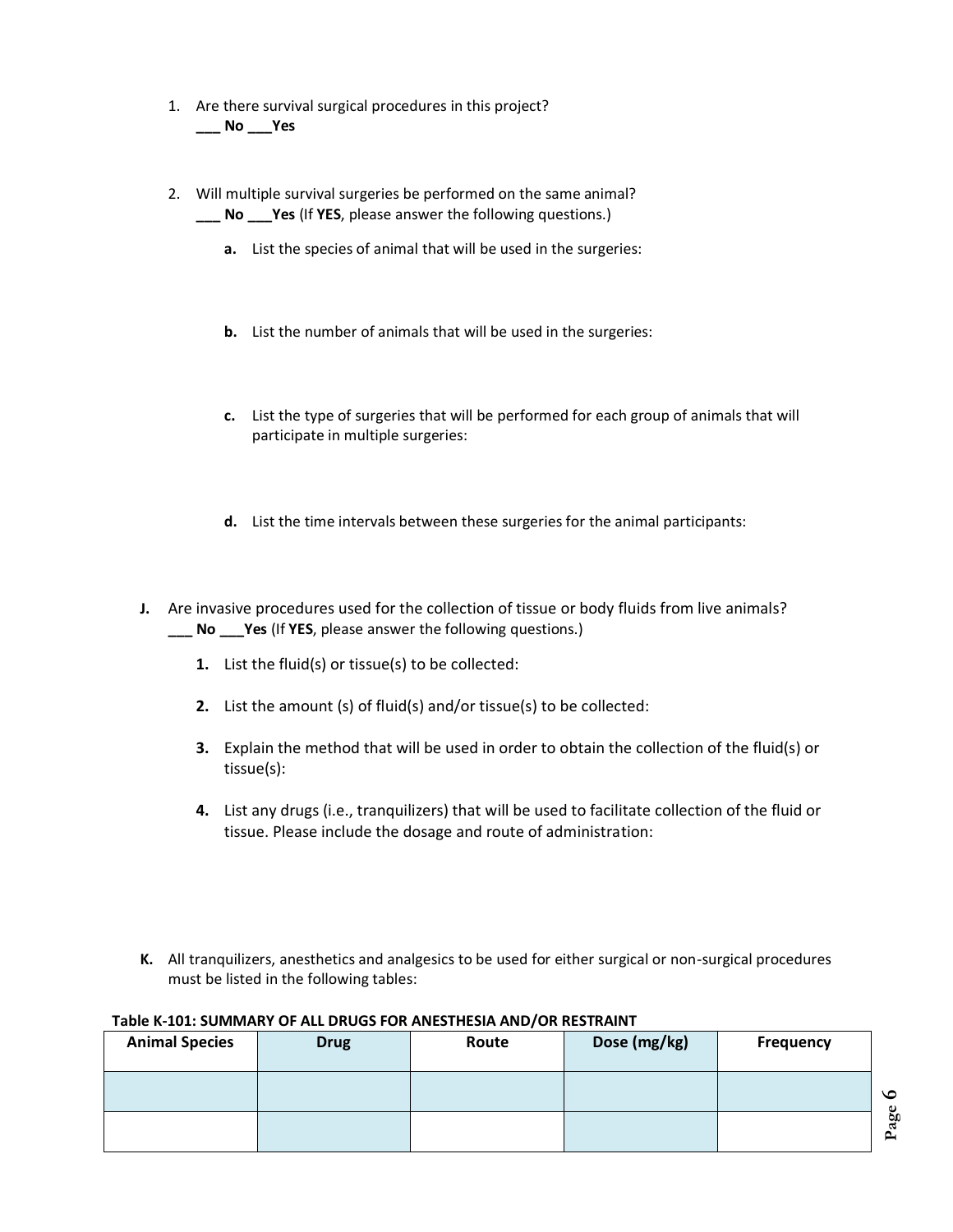- 1. Are there survival surgical procedures in this project? **\_\_\_ No \_\_\_Yes**
- 2. Will multiple survival surgeries be performed on the same animal? **\_\_\_ No \_\_\_Yes** (If **YES**, please answer the following questions.)
	- **a.** List the species of animal that will be used in the surgeries:
	- **b.** List the number of animals that will be used in the surgeries:
	- **c.** List the type of surgeries that will be performed for each group of animals that will participate in multiple surgeries:
	- **d.** List the time intervals between these surgeries for the animal participants:
- **J.** Are invasive procedures used for the collection of tissue or body fluids from live animals? **\_\_\_ No \_\_\_Yes** (If **YES**, please answer the following questions.)
	- **1.** List the fluid(s) or tissue(s) to be collected:
	- **2.** List the amount (s) of fluid(s) and/or tissue(s) to be collected:
	- **3.** Explain the method that will be used in order to obtain the collection of the fluid(s) or tissue(s):
	- **4.** List any drugs (i.e., tranquilizers) that will be used to facilitate collection of the fluid or tissue. Please include the dosage and route of administration:
- **K.** All tranquilizers, anesthetics and analgesics to be used for either surgical or non-surgical procedures must be listed in the following tables:

#### **Table K-101: SUMMARY OF ALL DRUGS FOR ANESTHESIA AND/OR RESTRAINT**

| <b>Animal Species</b> | <b>Drug</b> | Route | Dose (mg/kg) | <b>Frequency</b> |                     |
|-----------------------|-------------|-------|--------------|------------------|---------------------|
|                       |             |       |              |                  | $\circ$             |
|                       |             |       |              |                  | age<br>$\mathbf{r}$ |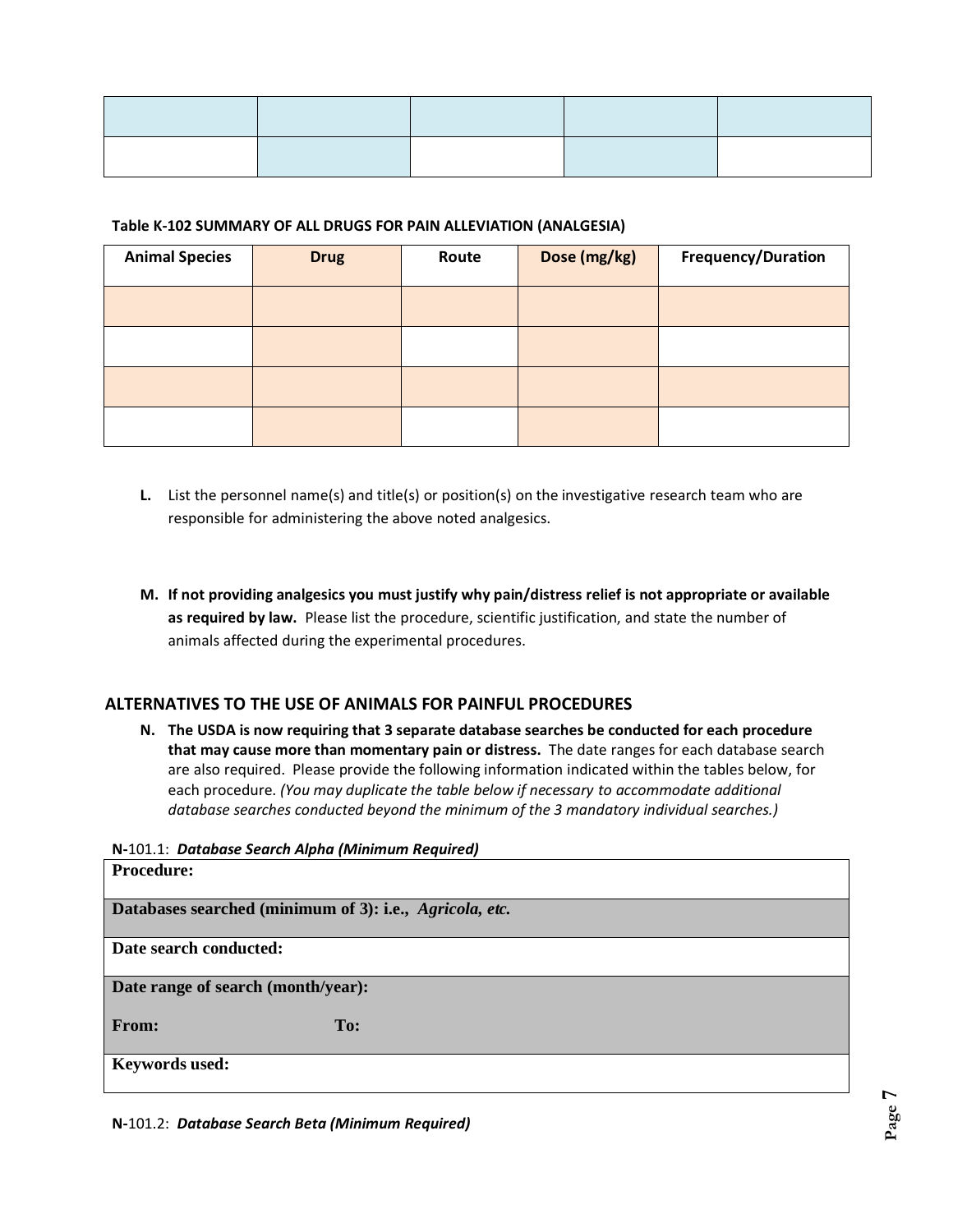| <b>Contract Contract Contract Contract</b><br>____ | the contract of the contract of the contract of the contract of |  |
|----------------------------------------------------|-----------------------------------------------------------------|--|
|                                                    |                                                                 |  |

#### **Table K-102 SUMMARY OF ALL DRUGS FOR PAIN ALLEVIATION (ANALGESIA)**

| <b>Animal Species</b> | <b>Drug</b> | Route | Dose (mg/kg) | Frequency/Duration |
|-----------------------|-------------|-------|--------------|--------------------|
|                       |             |       |              |                    |
|                       |             |       |              |                    |
|                       |             |       |              |                    |
|                       |             |       |              |                    |

- **L.** List the personnel name(s) and title(s) or position(s) on the investigative research team who are responsible for administering the above noted analgesics.
- **M. If not providing analgesics you must justify why pain/distress relief is not appropriate or available as required by law.** Please list the procedure, scientific justification, and state the number of animals affected during the experimental procedures.

# **ALTERNATIVES TO THE USE OF ANIMALS FOR PAINFUL PROCEDURES**

**N. The USDA is now requiring that 3 separate database searches be conducted for each procedure that may cause more than momentary pain or distress.** The date ranges for each database search are also required. Please provide the following information indicated within the tables below, for each procedure. *(You may duplicate the table below if necessary to accommodate additional database searches conducted beyond the minimum of the 3 mandatory individual searches.)*

**N-**101.1: *Database Search Alpha (Minimum Required)*

| <b>Procedure:</b>                                       |     |  |  |
|---------------------------------------------------------|-----|--|--|
| Databases searched (minimum of 3): i.e., Agricola, etc. |     |  |  |
| Date search conducted:                                  |     |  |  |
| Date range of search (month/year):                      |     |  |  |
| From:                                                   | To: |  |  |
| <b>Keywords used:</b>                                   |     |  |  |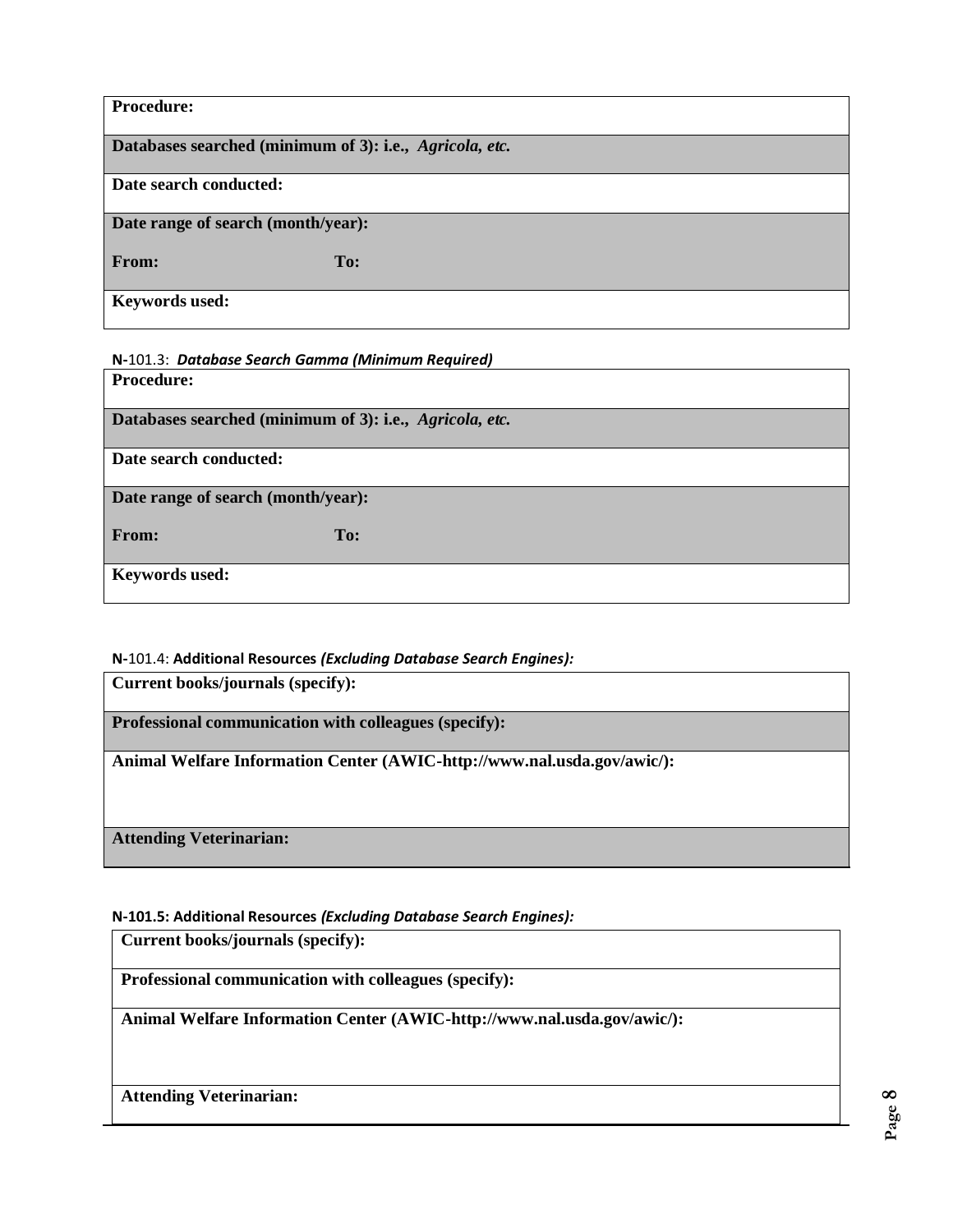| <b>Procedure:</b>                                       |  |  |  |
|---------------------------------------------------------|--|--|--|
| Databases searched (minimum of 3): i.e., Agricola, etc. |  |  |  |
| Date search conducted:                                  |  |  |  |
| Date range of search (month/year):                      |  |  |  |
| From:<br>To:                                            |  |  |  |
| <b>Keywords used:</b>                                   |  |  |  |

**N-**101.3: *Database Search Gamma (Minimum Required)*

**Procedure:** 

**Databases searched (minimum of 3): i.e.,** *Agricola, etc.*

**Date search conducted:** 

**Date range of search (month/year):** 

From: To: To:

**Keywords used:** 

# **N-**101.4: **Additional Resources** *(Excluding Database Search Engines):*

**Current books/journals (specify):** 

**Professional communication with colleagues (specify):** 

**Animal Welfare Information Center (AWIC-http://www.nal.usda.gov/awic/):**

**Attending Veterinarian:** 

# **N-101.5: Additional Resources** *(Excluding Database Search Engines):*

**Current books/journals (specify):** 

**Professional communication with colleagues (specify):** 

**Animal Welfare Information Center (AWIC-http://www.nal.usda.gov/awic/):**

**Attending Veterinarian:**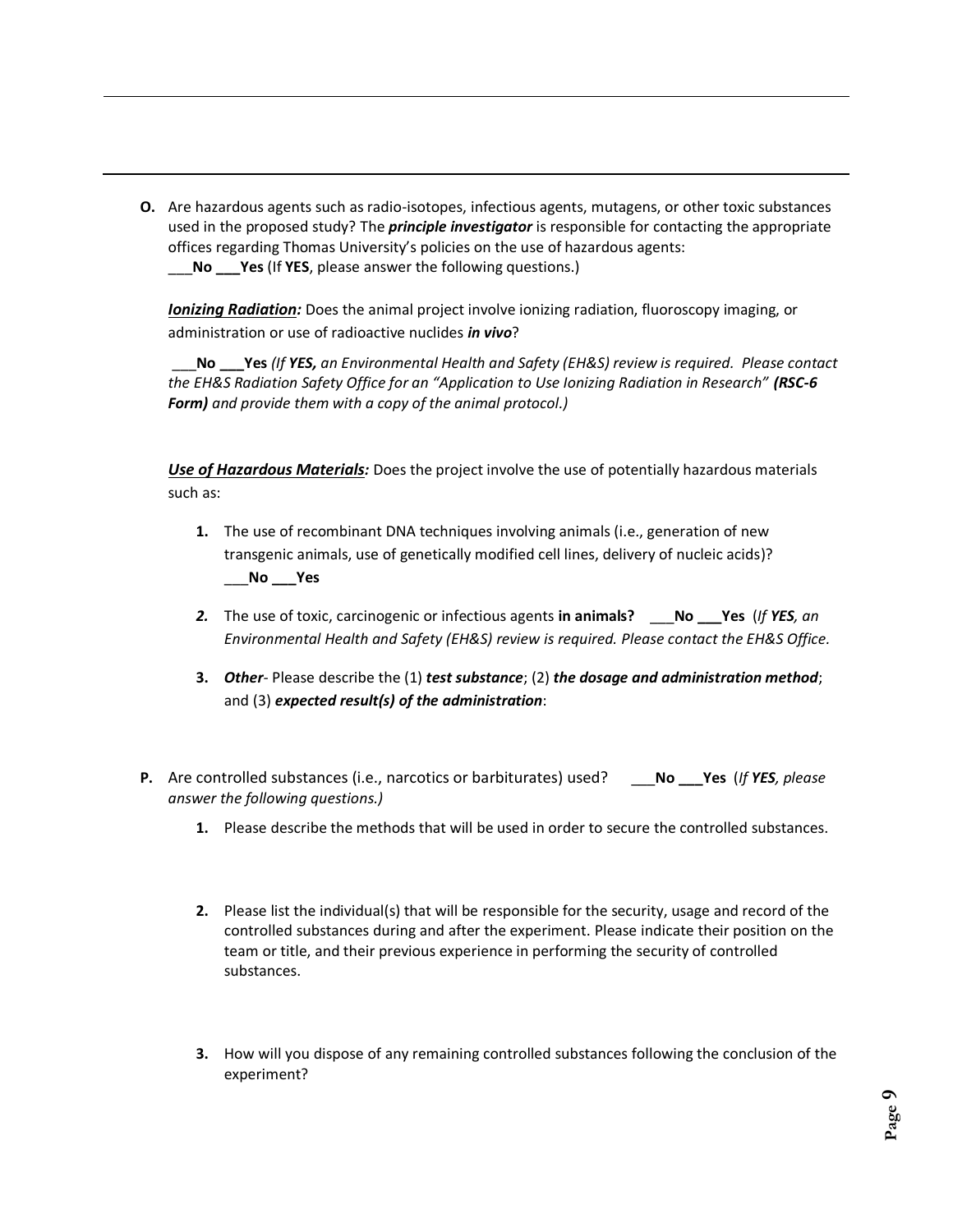**O.** Are hazardous agents such as radio-isotopes, infectious agents, mutagens, or other toxic substances used in the proposed study? The *principle investigator* is responsible for contacting the appropriate offices regarding Thomas University's policies on the use of hazardous agents: \_\_\_**No \_\_\_Yes** (If **YES**, please answer the following questions.)

*Ionizing Radiation:* Does the animal project involve ionizing radiation, fluoroscopy imaging, or administration or use of radioactive nuclides *in vivo*?

\_\_\_**No \_\_\_Yes** *(If YES, an Environmental Health and Safety (EH&S) review is required. Please contact the EH&S Radiation Safety Office for an "Application to Use Ionizing Radiation in Research" (RSC-6 Form) and provide them with a copy of the animal protocol.)*

*Use of Hazardous Materials:* Does the project involve the use of potentially hazardous materials such as:

- **1.** The use of recombinant DNA techniques involving animals (i.e., generation of new transgenic animals, use of genetically modified cell lines, delivery of nucleic acids)? \_\_\_**No \_\_\_Yes**
- *2.* The use of toxic, carcinogenic or infectious agents **in animals?** \_\_\_**No \_\_\_Yes** (*If YES, an Environmental Health and Safety (EH&S) review is required. Please contact the EH&S Office.*
- **3.** *Other-* Please describe the (1) *test substance*; (2) *the dosage and administration method*; and (3) *expected result(s) of the administration*:
- **P.** Are controlled substances (i.e., narcotics or barbiturates) used? \_\_\_**No \_\_\_Yes** (*If YES, please answer the following questions.)*
	- **1.** Please describe the methods that will be used in order to secure the controlled substances.
	- **2.** Please list the individual(s) that will be responsible for the security, usage and record of the controlled substances during and after the experiment. Please indicate their position on the team or title, and their previous experience in performing the security of controlled substances.
	- **3.** How will you dispose of any remaining controlled substances following the conclusion of the experiment?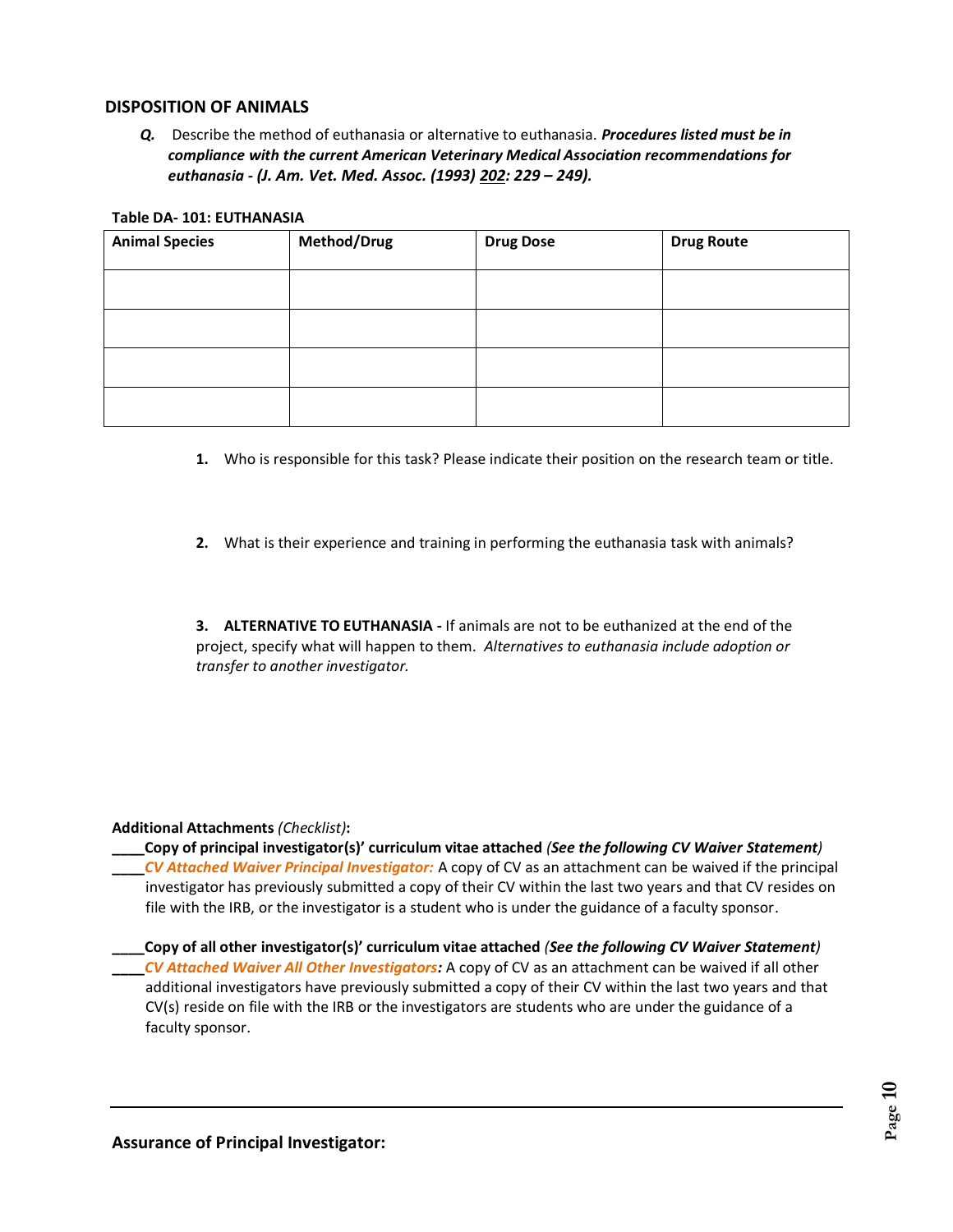# **DISPOSITION OF ANIMALS**

*Q.* Describe the method of euthanasia or alternative to euthanasia. *Procedures listed must be in compliance with the current American Veterinary Medical Association recommendations for euthanasia - (J. Am. Vet. Med. Assoc. (1993) 202: 229 – 249).*

#### **Table DA- 101: EUTHANASIA**

| <b>Animal Species</b> | Method/Drug | <b>Drug Dose</b> | <b>Drug Route</b> |
|-----------------------|-------------|------------------|-------------------|
|                       |             |                  |                   |
|                       |             |                  |                   |
|                       |             |                  |                   |
|                       |             |                  |                   |

- **1.** Who is responsible for this task? Please indicate their position on the research team or title.
- **2.** What is their experience and training in performing the euthanasia task with animals?

**3. ALTERNATIVE TO EUTHANASIA -** If animals are not to be euthanized at the end of the project, specify what will happen to them. *Alternatives to euthanasia include adoption or transfer to another investigator.*

#### **Additional Attachments** *(Checklist)***:**

**\_\_\_\_Copy of principal investigator(s)' curriculum vitae attached** *(See the following CV Waiver Statement)*

**\_\_\_\_***CV Attached Waiver Principal Investigator:* A copy of CV as an attachment can be waived if the principal investigator has previously submitted a copy of their CV within the last two years and that CV resides on file with the IRB, or the investigator is a student who is under the guidance of a faculty sponsor.

**\_\_\_\_Copy of all other investigator(s)' curriculum vitae attached** *(See the following CV Waiver Statement)* **\_\_\_\_***CV Attached Waiver All Other Investigators:* A copy of CV as an attachment can be waived if all other additional investigators have previously submitted a copy of their CV within the last two years and that CV(s) reside on file with the IRB or the investigators are students who are under the guidance of a faculty sponsor.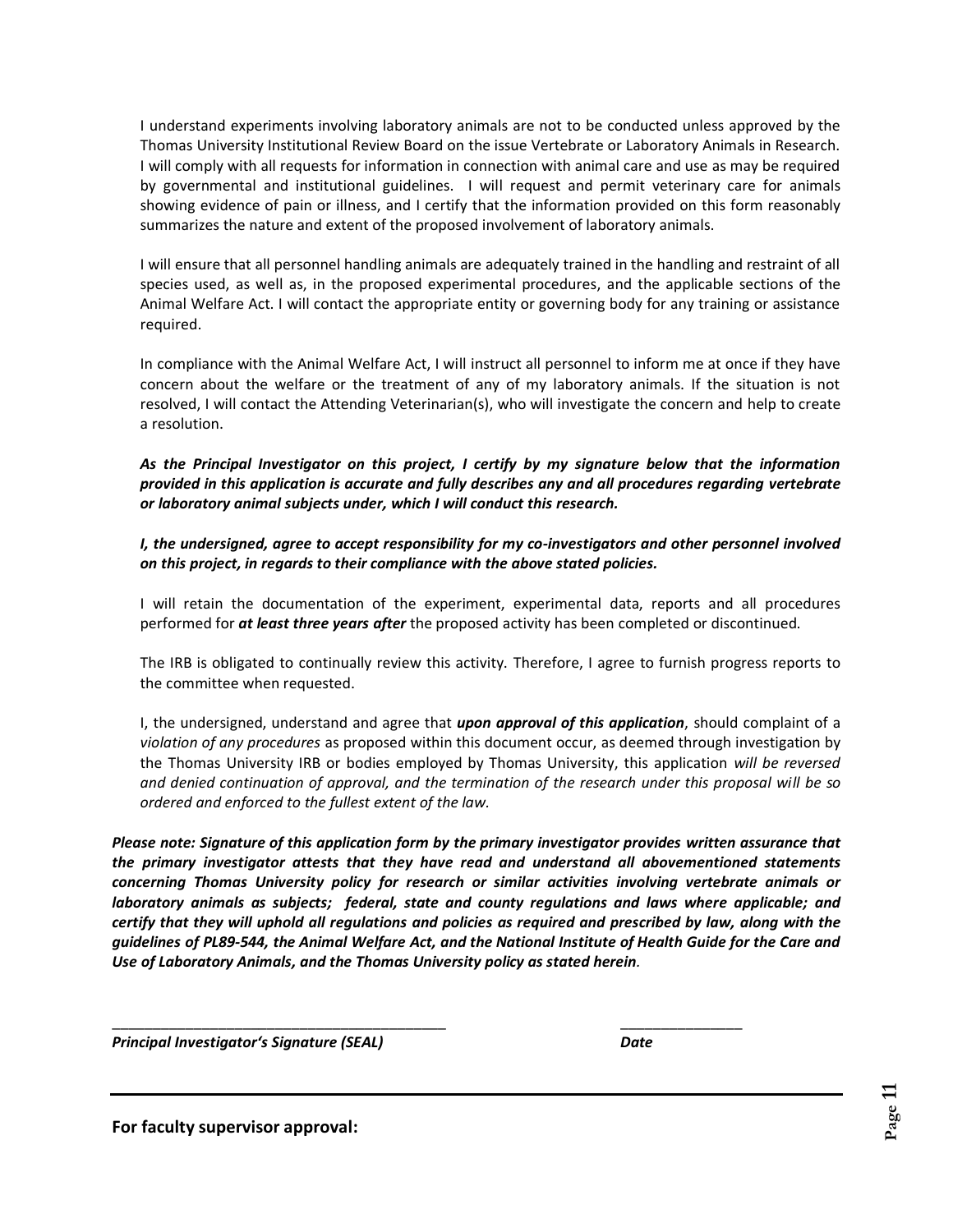I understand experiments involving laboratory animals are not to be conducted unless approved by the Thomas University Institutional Review Board on the issue Vertebrate or Laboratory Animals in Research. I will comply with all requests for information in connection with animal care and use as may be required by governmental and institutional guidelines. I will request and permit veterinary care for animals showing evidence of pain or illness, and I certify that the information provided on this form reasonably summarizes the nature and extent of the proposed involvement of laboratory animals.

I will ensure that all personnel handling animals are adequately trained in the handling and restraint of all species used, as well as, in the proposed experimental procedures, and the applicable sections of the Animal Welfare Act. I will contact the appropriate entity or governing body for any training or assistance required.

In compliance with the Animal Welfare Act, I will instruct all personnel to inform me at once if they have concern about the welfare or the treatment of any of my laboratory animals. If the situation is not resolved, I will contact the Attending Veterinarian(s), who will investigate the concern and help to create a resolution.

*As the Principal Investigator on this project, I certify by my signature below that the information provided in this application is accurate and fully describes any and all procedures regarding vertebrate or laboratory animal subjects under, which I will conduct this research.*

*I, the undersigned, agree to accept responsibility for my co-investigators and other personnel involved on this project, in regards to their compliance with the above stated policies.*

I will retain the documentation of the experiment, experimental data, reports and all procedures performed for *at least three years after* the proposed activity has been completed or discontinued.

The IRB is obligated to continually review this activity. Therefore, I agree to furnish progress reports to the committee when requested.

I, the undersigned, understand and agree that *upon approval of this application*, should complaint of a *violation of any procedures* as proposed within this document occur, as deemed through investigation by the Thomas University IRB or bodies employed by Thomas University, this application *will be reversed and denied continuation of approval, and the termination of the research under this proposal will be so ordered and enforced to the fullest extent of the law.*

*Please note: Signature of this application form by the primary investigator provides written assurance that the primary investigator attests that they have read and understand all abovementioned statements concerning Thomas University policy for research or similar activities involving vertebrate animals or laboratory animals as subjects; federal, state and county regulations and laws where applicable; and certify that they will uphold all regulations and policies as required and prescribed by law, along with the guidelines of PL89-544, the Animal Welfare Act, and the National Institute of Health Guide for the Care and Use of Laboratory Animals, and the Thomas University policy as stated herein.*

\_\_\_\_\_\_\_\_\_\_\_\_\_\_\_\_\_\_\_\_\_\_\_\_\_\_\_\_\_\_\_\_\_\_\_\_\_\_\_\_\_ \_\_\_\_\_\_\_\_\_\_\_\_\_\_\_

*Principal Investigator's Signature (SEAL) Date*

**For faculty supervisor approval:**